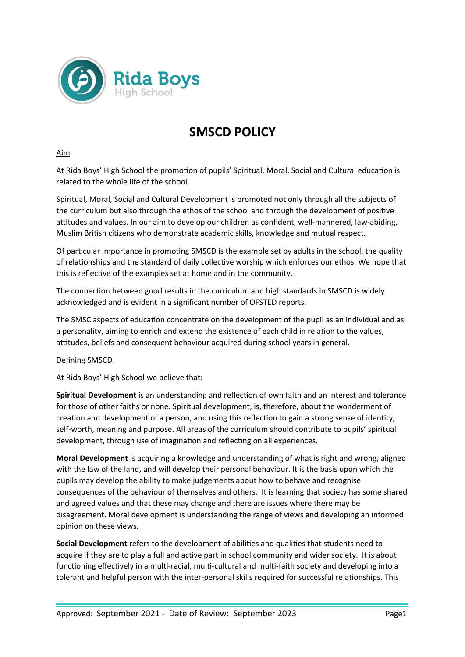

# **SMSCD POLICY**

#### Aim

At Rida Boys' High School the promotion of pupils' Spiritual, Moral, Social and Cultural education is related to the whole life of the school.

Spiritual, Moral, Social and Cultural Development is promoted not only through all the subjects of the curriculum but also through the ethos of the school and through the development of positive attitudes and values. In our aim to develop our children as confident, well-mannered, law-abiding, Muslim British citizens who demonstrate academic skills, knowledge and mutual respect.

Of particular importance in promoting SMSCD is the example set by adults in the school, the quality of relationships and the standard of daily collective worship which enforces our ethos. We hope that this is reflective of the examples set at home and in the community.

The connection between good results in the curriculum and high standards in SMSCD is widely acknowledged and is evident in a significant number of OFSTED reports.

The SMSC aspects of education concentrate on the development of the pupil as an individual and as a personality, aiming to enrich and extend the existence of each child in relation to the values, attitudes, beliefs and consequent behaviour acquired during school years in general.

## Defining SMSCD

At Rida Boys' High School we believe that:

**Spiritual Development** is an understanding and reflection of own faith and an interest and tolerance for those of other faiths or none. Spiritual development, is, therefore, about the wonderment of creation and development of a person, and using this reflection to gain a strong sense of identity, self-worth, meaning and purpose. All areas of the curriculum should contribute to pupils' spiritual development, through use of imagination and reflecting on all experiences.

**Moral Development** is acquiring a knowledge and understanding of what is right and wrong, aligned with the law of the land, and will develop their personal behaviour. It is the basis upon which the pupils may develop the ability to make judgements about how to behave and recognise consequences of the behaviour of themselves and others. It is learning that society has some shared and agreed values and that these may change and there are issues where there may be disagreement. Moral development is understanding the range of views and developing an informed opinion on these views.

**Social Development** refers to the development of abilities and qualities that students need to acquire if they are to play a full and active part in school community and wider society. It is about functioning effectively in a multi-racial, multi-cultural and multi-faith society and developing into a tolerant and helpful person with the inter-personal skills required for successful relationships. This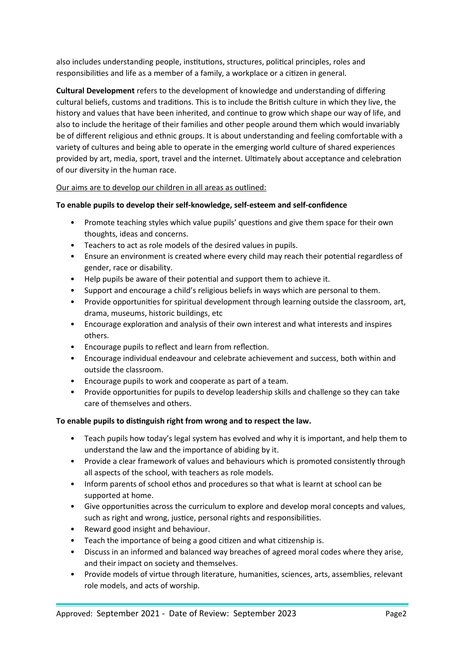also includes understanding people, institutions, structures, political principles, roles and responsibilities and life as a member of a family, a workplace or a citizen in general.

**Cultural Development** refers to the development of knowledge and understanding of differing cultural beliefs, customs and traditions. This is to include the British culture in which they live, the history and values that have been inherited, and continue to grow which shape our way of life, and also to include the heritage of their families and other people around them which would invariably be of different religious and ethnic groups. It is about understanding and feeling comfortable with a variety of cultures and being able to operate in the emerging world culture of shared experiences provided by art, media, sport, travel and the internet. Ultimately about acceptance and celebration of our diversity in the human race.

# Our aims are to develop our children in all areas as outlined:

## **To enable pupils to develop their self-knowledge, self-esteem and self-confidence**

- Promote teaching styles which value pupils' questions and give them space for their own thoughts, ideas and concerns.
- Teachers to act as role models of the desired values in pupils.
- Ensure an environment is created where every child may reach their potential regardless of gender, race or disability.
- Help pupils be aware of their potential and support them to achieve it.
- Support and encourage a child's religious beliefs in ways which are personal to them.
- Provide opportunities for spiritual development through learning outside the classroom, art, drama, museums, historic buildings, etc
- Encourage exploration and analysis of their own interest and what interests and inspires others.
- Encourage pupils to reflect and learn from reflection.
- Encourage individual endeavour and celebrate achievement and success, both within and outside the classroom.
- Encourage pupils to work and cooperate as part of a team.
- Provide opportunities for pupils to develop leadership skills and challenge so they can take care of themselves and others.

## **To enable pupils to distinguish right from wrong and to respect the law.**

- Teach pupils how today's legal system has evolved and why it is important, and help them to understand the law and the importance of abiding by it.
- Provide a clear framework of values and behaviours which is promoted consistently through all aspects of the school, with teachers as role models.
- Inform parents of school ethos and procedures so that what is learnt at school can be supported at home.
- Give opportunities across the curriculum to explore and develop moral concepts and values, such as right and wrong, justice, personal rights and responsibilities.
- Reward good insight and behaviour.
- Teach the importance of being a good citizen and what citizenship is.
- Discuss in an informed and balanced way breaches of agreed moral codes where they arise, and their impact on society and themselves.
- Provide models of virtue through literature, humanities, sciences, arts, assemblies, relevant role models, and acts of worship.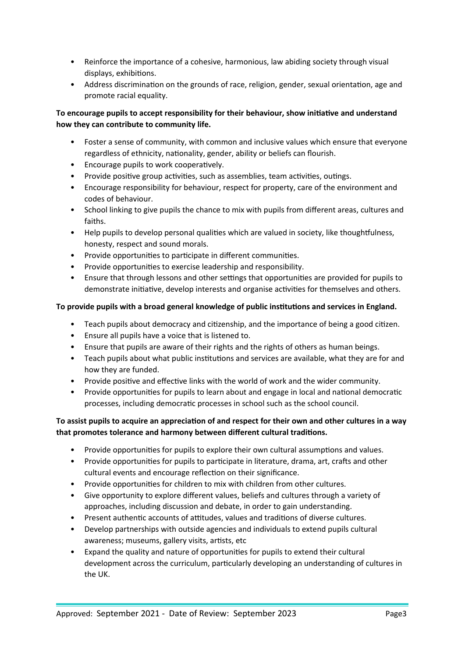- Reinforce the importance of a cohesive, harmonious, law abiding society through visual displays, exhibitions.
- Address discrimination on the grounds of race, religion, gender, sexual orientation, age and promote racial equality.

# **To encourage pupils to accept responsibility for their behaviour, show initiative and understand how they can contribute to community life.**

- Foster a sense of community, with common and inclusive values which ensure that everyone regardless of ethnicity, nationality, gender, ability or beliefs can flourish.
- Encourage pupils to work cooperatively.
- Provide positive group activities, such as assemblies, team activities, outings.
- Encourage responsibility for behaviour, respect for property, care of the environment and codes of behaviour.
- School linking to give pupils the chance to mix with pupils from different areas, cultures and faiths.
- Help pupils to develop personal qualities which are valued in society, like thoughtfulness, honesty, respect and sound morals.
- Provide opportunities to participate in different communities.
- Provide opportunities to exercise leadership and responsibility.
- Ensure that through lessons and other settings that opportunities are provided for pupils to demonstrate initiative, develop interests and organise activities for themselves and others.

# **To provide pupils with a broad general knowledge of public institutions and services in England.**

- Teach pupils about democracy and citizenship, and the importance of being a good citizen.
- Ensure all pupils have a voice that is listened to.
- Ensure that pupils are aware of their rights and the rights of others as human beings.
- Teach pupils about what public institutions and services are available, what they are for and how they are funded.
- Provide positive and effective links with the world of work and the wider community.
- Provide opportunities for pupils to learn about and engage in local and national democratic processes, including democratic processes in school such as the school council.

# **To assist pupils to acquire an appreciation of and respect for their own and other cultures in a way that promotes tolerance and harmony between different cultural traditions.**

- Provide opportunities for pupils to explore their own cultural assumptions and values.
- Provide opportunities for pupils to participate in literature, drama, art, crafts and other cultural events and encourage reflection on their significance.
- Provide opportunities for children to mix with children from other cultures.
- Give opportunity to explore different values, beliefs and cultures through a variety of approaches, including discussion and debate, in order to gain understanding.
- Present authentic accounts of attitudes, values and traditions of diverse cultures.
- Develop partnerships with outside agencies and individuals to extend pupils cultural awareness; museums, gallery visits, artists, etc
- Expand the quality and nature of opportunities for pupils to extend their cultural development across the curriculum, particularly developing an understanding of cultures in the UK.